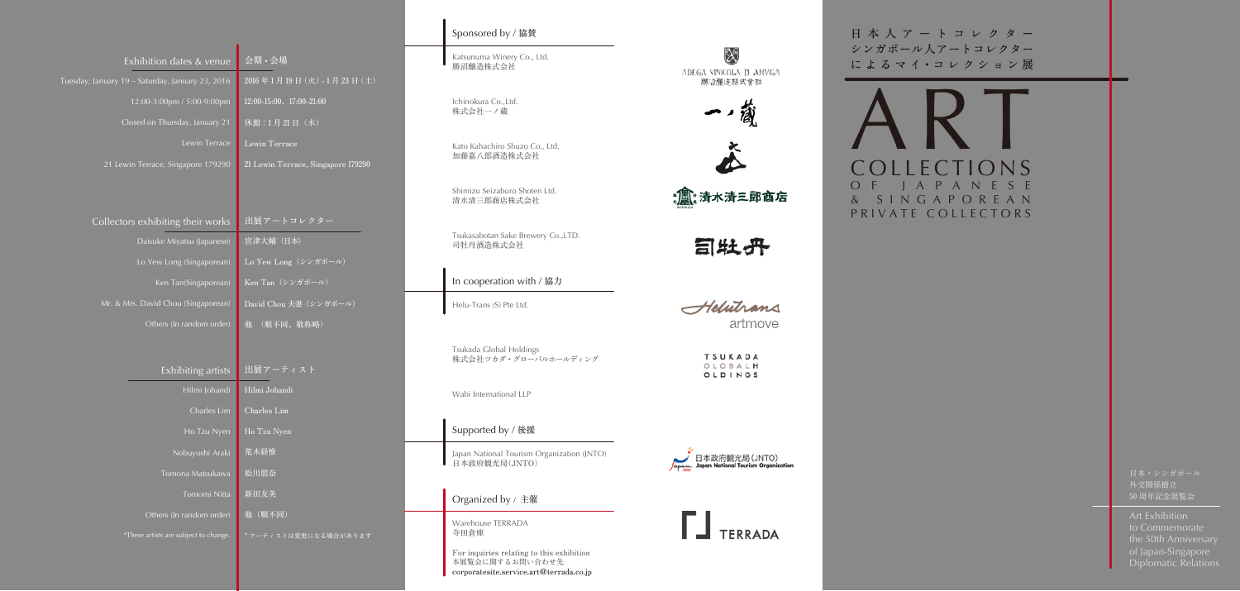Art Exhibition to Commemorate the 50th Anniversary of Japan-Singapore Diplomatic Relations

外交関係樹立 50 周年記念展覧会

## Sponsored by / 協賛

Katsunuma Winery Co., Ltd. 勝沼醸造株式会社

Ichinokura Co.,Ltd. 株式会社一ノ蔵

Kato Kahachiro Shuzo Co., Ltd. 加藤嘉八郎酒造株式会社

Shimizu Seizaburo Shoten Ltd. 清水清三郎商店株式会社

Tsukasabotan Sake Brewery Co.,LTD. 司牡丹酒造株式会社

In cooperation with / 協力

Helu-Trans (S) Pte Ltd.

Tsukada Global Holdings 株式会社ツカダ・グローバルホールディング

Wabi International LLP

Supported by / 後援

Japan National Tourism Organization (JNTO) 日本政府観光 局(JNTO)

Organized by / 主催

Warehouse TERRADA 寺田倉庫

Collectors exhibiting their works

Daisuke Miyatsu (Japanese)

Lo Yew Long (Singaporean)

Ken Tan(Singaporean)

Mr. & Mrs. David Chou (Singaporean)

Exhibition dates & venue

12:00-3:00pm / 5:00-9:00pm

Closed on Thursday, January 21

Lewin Terrace

Exhibiting artists

Hilmi Johandi

Charles Lim

Ho Tzu Nyen

Nobuyoshi Araki

Tomona Matsukawa

Tomomi Nitta

Others (In random order)

21 Lewin Terrace, Singapore 179290 21 Lewin Terrace, Singapore 179290

\*These artists are subject to change.

Others (In random order) 他 (順不同、敬称略)

会期 • 会場

2016 年 1 月 19 日(火)- 1 月 23 日(土)

12:00-15:00、17:00-21:00

休館:1月21日 (木)

Lewin Terrace

出展アートコレクター

 $\overline{\text{Lo Yew Long}(\nu \vee \text{Uny})}$ 

David Chou 夫妻(シンガポール)

Ken Tan $(\nu \times \nu)$ 

宮津大輔(日本)

出展アーティスト

Hilmi Johandi

Charles Lim

Ho Tzu Nyen

荒木経惟

松川朋奈

新田友美

他(順不同)

\* アーティストは変更になる場合があります

For inquiries relating to this exhibition 本展覧会に関するお問い合わせ先 corporatesite.service.art@terrada.co.jp

Ng ADEGA VINICOLA D ARVGA 勝沼醸造構式會社



:氲:清水清三郎商宕

目牡丹

Helutrans artmove

> TSUKADA GLOBALH OLDINGS

日本政府観光局(JNTO) National Tourism Organization



日本人アートコレクター シンガポール人アートコレクター に よ る マ イ ・コ レ ク シ ョ ン 展